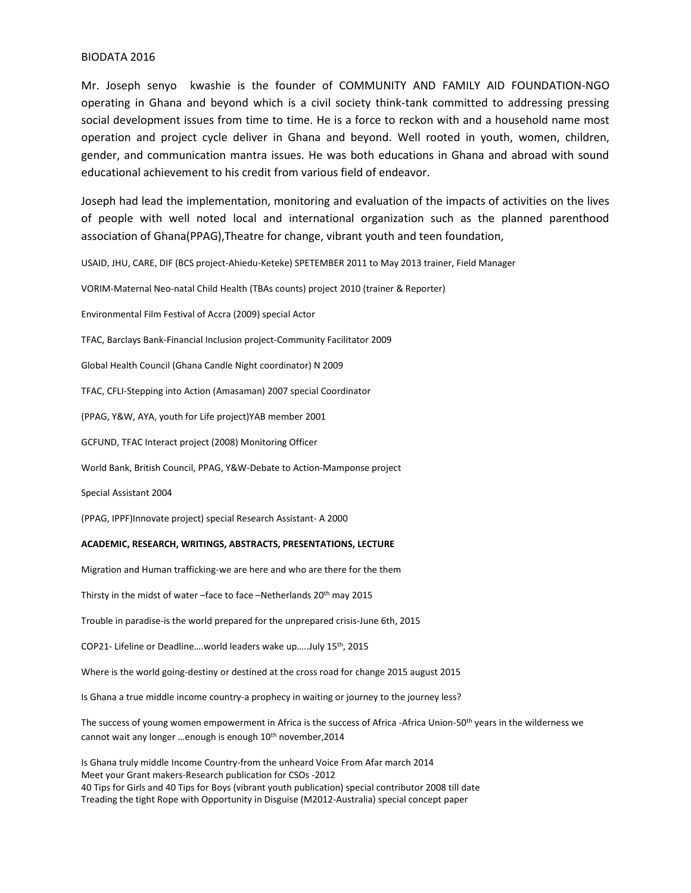## BIODATA 2016

Mr. Joseph senyo kwashie is the founder of COMMUNITY AND FAMILY AID FOUNDATION-NGO operating in Ghana and beyond which is a civil society think-tank committed to addressing pressing social development issues from time to time. He is a force to reckon with and a household name most operation and project cycle deliver in Ghana and beyond. Well rooted in youth, women, children, gender, and communication mantra issues. He was both educations in Ghana and abroad with sound educational achievement to his credit from various field of endeavor.

Joseph had lead the implementation, monitoring and evaluation of the impacts of activities on the lives of people with well noted local and international organization such as the planned parenthood association of Ghana(PPAG),Theatre for change, vibrant youth and teen foundation,

USAID, JHU, CARE, DIF (BCS project-Ahiedu-Keteke) SPETEMBER 2011 to May 2013 trainer, Field Manager

VORIM-Maternal Neo-natal Child Health (TBAs counts) project 2010 (trainer & Reporter)

Environmental Film Festival of Accra (2009) special Actor

TFAC, Barclays Bank-Financial Inclusion project-Community Facilitator 2009

Global Health Council (Ghana Candle Night coordinator) N 2009

TFAC, CFLI-Stepping into Action (Amasaman) 2007 special Coordinator

(PPAG, Y&W, AYA, youth for Life project)YAB member 2001

GCFUND, TFAC Interact project (2008) Monitoring Officer

World Bank, British Council, PPAG, Y&W-Debate to Action-Mamponse project

Special Assistant 2004

(PPAG, IPPF)Innovate project) special Research Assistant- A 2000

### **ACADEMIC, RESEARCH, WRITINGS, ABSTRACTS, PRESENTATIONS, LECTURE**

Migration and Human trafficking-we are here and who are there for the them

Thirsty in the midst of water –face to face –Netherlands 20th may 2015

Trouble in paradise-is the world prepared for the unprepared crisis-June 6th, 2015

COP21- Lifeline or Deadline….world leaders wake up…..July 15th, 2015

Where is the world going-destiny or destined at the cross road for change 2015 august 2015

Is Ghana a true middle income country-a prophecy in waiting or journey to the journey less?

The success of young women empowerment in Africa is the success of Africa -Africa Union-50<sup>th</sup> years in the wilderness we cannot wait any longer ...enough is enough 10<sup>th</sup> november, 2014

Is Ghana truly middle Income Country-from the unheard Voice From Afar march 2014 Meet your Grant makers-Research publication for CSOs -2012 40 Tips for Girls and 40 Tips for Boys (vibrant youth publication) special contributor 2008 till date Treading the tight Rope with Opportunity in Disguise (M2012-Australia) special concept paper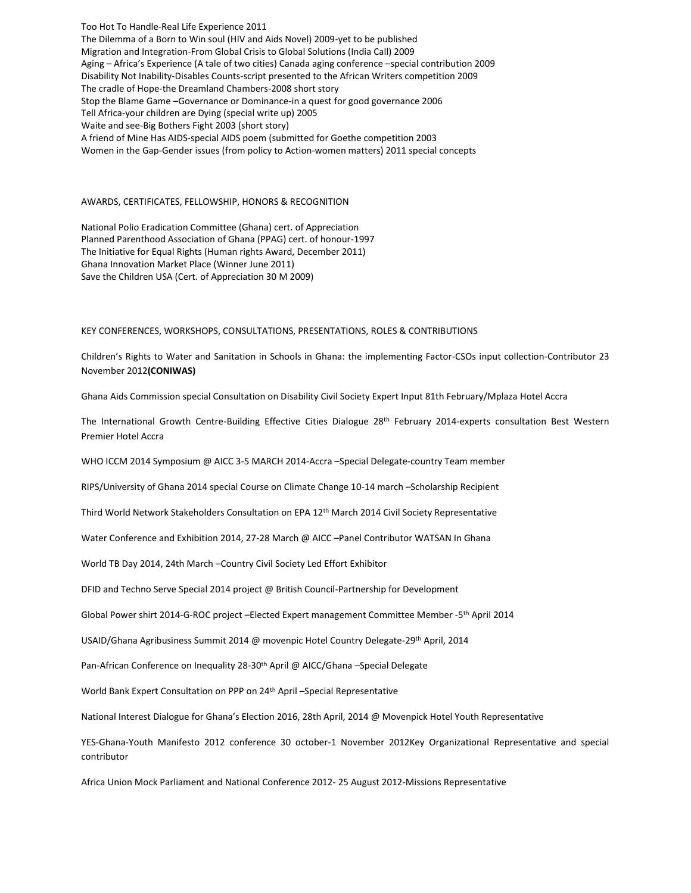Too Hot To Handle-Real Life Experience 2011 The Dilemma of a Born to Win soul (HIV and Aids Novel) 2009-yet to be published Migration and Integration-From Global Crisis to Global Solutions (India Call) 2009 Aging – Africa's Experience (A tale of two cities) Canada aging conference –special contribution 2009 Disability Not Inability-Disables Counts-script presented to the African Writers competition 2009 The cradle of Hope-the Dreamland Chambers-2008 short story Stop the Blame Game –Governance or Dominance-in a quest for good governance 2006 Tell Africa-your children are Dying (special write up) 2005 Waite and see-Big Bothers Fight 2003 (short story) A friend of Mine Has AIDS-special AIDS poem (submitted for Goethe competition 2003 Women in the Gap-Gender issues (from policy to Action-women matters) 2011 special concepts

#### AWARDS, CERTIFICATES, FELLOWSHIP, HONORS & RECOGNITION

National Polio Eradication Committee (Ghana) cert. of Appreciation Planned Parenthood Association of Ghana (PPAG) cert. of honour-1997 The Initiative for Equal Rights (Human rights Award, December 2011) Ghana Innovation Market Place (Winner June 2011) Save the Children USA (Cert. of Appreciation 30 M 2009)

#### KEY CONFERENCES, WORKSHOPS, CONSULTATIONS, PRESENTATIONS, ROLES & CONTRIBUTIONS

Children's Rights to Water and Sanitation in Schools in Ghana: the implementing Factor-CSOs input collection-Contributor 23 November 2012**(CONIWAS)**

Ghana Aids Commission special Consultation on Disability Civil Society Expert Input 81th February/Mplaza Hotel Accra

The International Growth Centre-Building Effective Cities Dialogue 28<sup>th</sup> February 2014-experts consultation Best Western Premier Hotel Accra

WHO ICCM 2014 Symposium @ AICC 3-5 MARCH 2014-Accra –Special Delegate-country Team member

RIPS/University of Ghana 2014 special Course on Climate Change 10-14 march –Scholarship Recipient

Third World Network Stakeholders Consultation on EPA 12th March 2014 Civil Society Representative

Water Conference and Exhibition 2014, 27-28 March @ AICC –Panel Contributor WATSAN In Ghana

World TB Day 2014, 24th March –Country Civil Society Led Effort Exhibitor

DFID and Techno Serve Special 2014 project @ British Council-Partnership for Development

Global Power shirt 2014-G-ROC project -Elected Expert management Committee Member -5<sup>th</sup> April 2014

USAID/Ghana Agribusiness Summit 2014 @ movenpic Hotel Country Delegate-29th April, 2014

Pan-African Conference on Inequality 28-30<sup>th</sup> April @ AICC/Ghana -Special Delegate

World Bank Expert Consultation on PPP on 24th April –Special Representative

National Interest Dialogue for Ghana's Election 2016, 28th April, 2014 @ Movenpick Hotel Youth Representative

YES-Ghana-Youth Manifesto 2012 conference 30 october-1 November 2012Key Organizational Representative and special contributor

Africa Union Mock Parliament and National Conference 2012- 25 August 2012-Missions Representative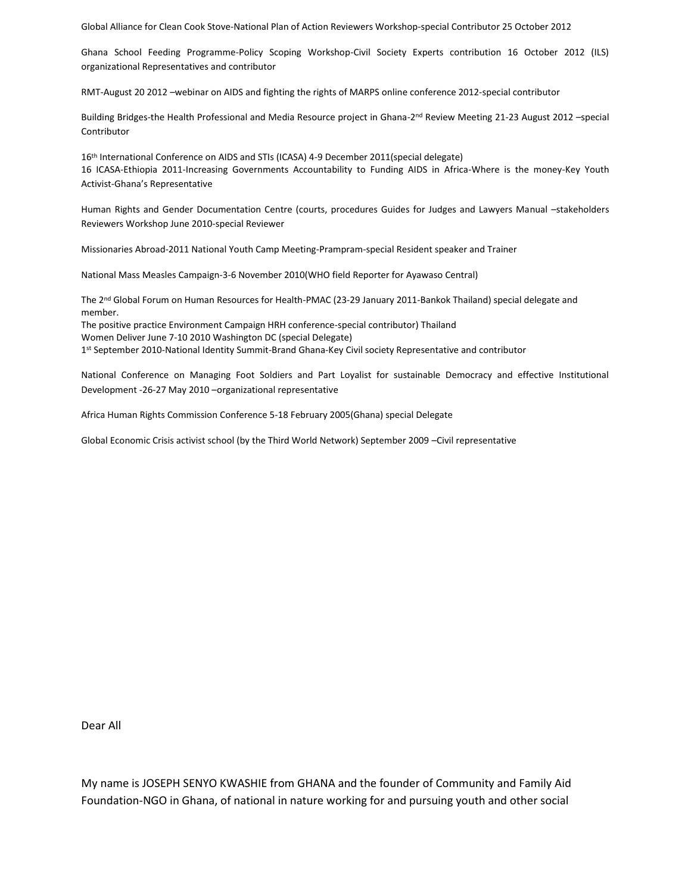Global Alliance for Clean Cook Stove-National Plan of Action Reviewers Workshop-special Contributor 25 October 2012

Ghana School Feeding Programme-Policy Scoping Workshop-Civil Society Experts contribution 16 October 2012 (ILS) organizational Representatives and contributor

RMT-August 20 2012 –webinar on AIDS and fighting the rights of MARPS online conference 2012-special contributor

Building Bridges-the Health Professional and Media Resource project in Ghana-2<sup>nd</sup> Review Meeting 21-23 August 2012 -special Contributor

16th International Conference on AIDS and STIs (ICASA) 4-9 December 2011(special delegate) 16 ICASA-Ethiopia 2011-Increasing Governments Accountability to Funding AIDS in Africa-Where is the money-Key Youth Activist-Ghana's Representative

Human Rights and Gender Documentation Centre (courts, procedures Guides for Judges and Lawyers Manual –stakeholders Reviewers Workshop June 2010-special Reviewer

Missionaries Abroad-2011 National Youth Camp Meeting-Prampram-special Resident speaker and Trainer

National Mass Measles Campaign-3-6 November 2010(WHO field Reporter for Ayawaso Central)

The 2<sup>nd</sup> Global Forum on Human Resources for Health-PMAC (23-29 January 2011-Bankok Thailand) special delegate and member.

The positive practice Environment Campaign HRH conference-special contributor) Thailand Women Deliver June 7-10 2010 Washington DC (special Delegate)

1 st September 2010-National Identity Summit-Brand Ghana-Key Civil society Representative and contributor

National Conference on Managing Foot Soldiers and Part Loyalist for sustainable Democracy and effective Institutional Development -26-27 May 2010 –organizational representative

Africa Human Rights Commission Conference 5-18 February 2005(Ghana) special Delegate

Global Economic Crisis activist school (by the Third World Network) September 2009 –Civil representative

Dear All

My name is JOSEPH SENYO KWASHIE from GHANA and the founder of Community and Family Aid Foundation-NGO in Ghana, of national in nature working for and pursuing youth and other social